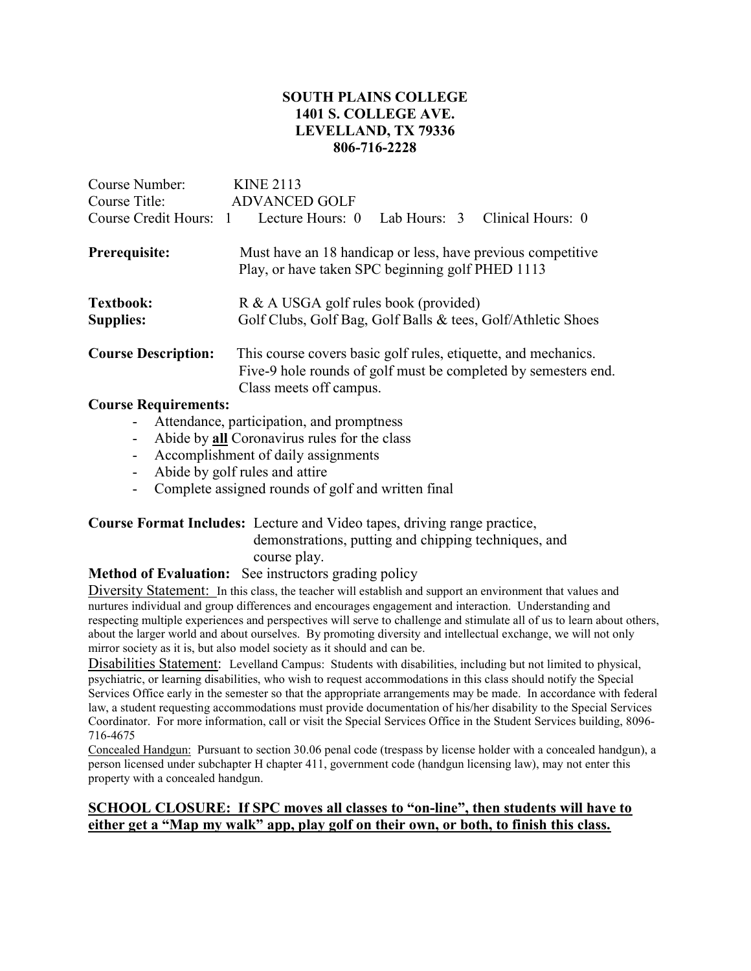## SOUTH PLAINS COLLEGE 1401 S. COLLEGE AVE. LEVELLAND, TX 79336 806-716-2228

| Course Number:<br>Course Title:<br>Course Credit Hours: 1 | <b>KINE 2113</b><br><b>ADVANCED GOLF</b><br>Lab Hours: 3 Clinical Hours: 0<br>Lecture Hours: 0                                                              |  |  |
|-----------------------------------------------------------|-------------------------------------------------------------------------------------------------------------------------------------------------------------|--|--|
| Prerequisite:                                             | Must have an 18 handicap or less, have previous competitive<br>Play, or have taken SPC beginning golf PHED 1113                                             |  |  |
| <b>Textbook:</b><br><b>Supplies:</b>                      | R & A USGA golf rules book (provided)<br>Golf Clubs, Golf Bag, Golf Balls & tees, Golf/Athletic Shoes                                                       |  |  |
| <b>Course Description:</b>                                | This course covers basic golf rules, etiquette, and mechanics.<br>Five-9 hole rounds of golf must be completed by semesters end.<br>Class meets off campus. |  |  |
| Course Dequirements                                       |                                                                                                                                                             |  |  |

### Course Requirements:

- Attendance, participation, and promptness
- Abide by **all** Coronavirus rules for the class
- Accomplishment of daily assignments
- Abide by golf rules and attire
- Complete assigned rounds of golf and written final

## Course Format Includes: Lecture and Video tapes, driving range practice, demonstrations, putting and chipping techniques, and course play.

### Method of Evaluation: See instructors grading policy

Diversity Statement: In this class, the teacher will establish and support an environment that values and nurtures individual and group differences and encourages engagement and interaction. Understanding and respecting multiple experiences and perspectives will serve to challenge and stimulate all of us to learn about others, about the larger world and about ourselves. By promoting diversity and intellectual exchange, we will not only mirror society as it is, but also model society as it should and can be.

Disabilities Statement: Levelland Campus: Students with disabilities, including but not limited to physical, psychiatric, or learning disabilities, who wish to request accommodations in this class should notify the Special Services Office early in the semester so that the appropriate arrangements may be made. In accordance with federal law, a student requesting accommodations must provide documentation of his/her disability to the Special Services Coordinator. For more information, call or visit the Special Services Office in the Student Services building, 8096- 716-4675

Concealed Handgun: Pursuant to section 30.06 penal code (trespass by license holder with a concealed handgun), a person licensed under subchapter H chapter 411, government code (handgun licensing law), may not enter this property with a concealed handgun.

## SCHOOL CLOSURE: If SPC moves all classes to "on-line", then students will have to either get a "Map my walk" app, play golf on their own, or both, to finish this class.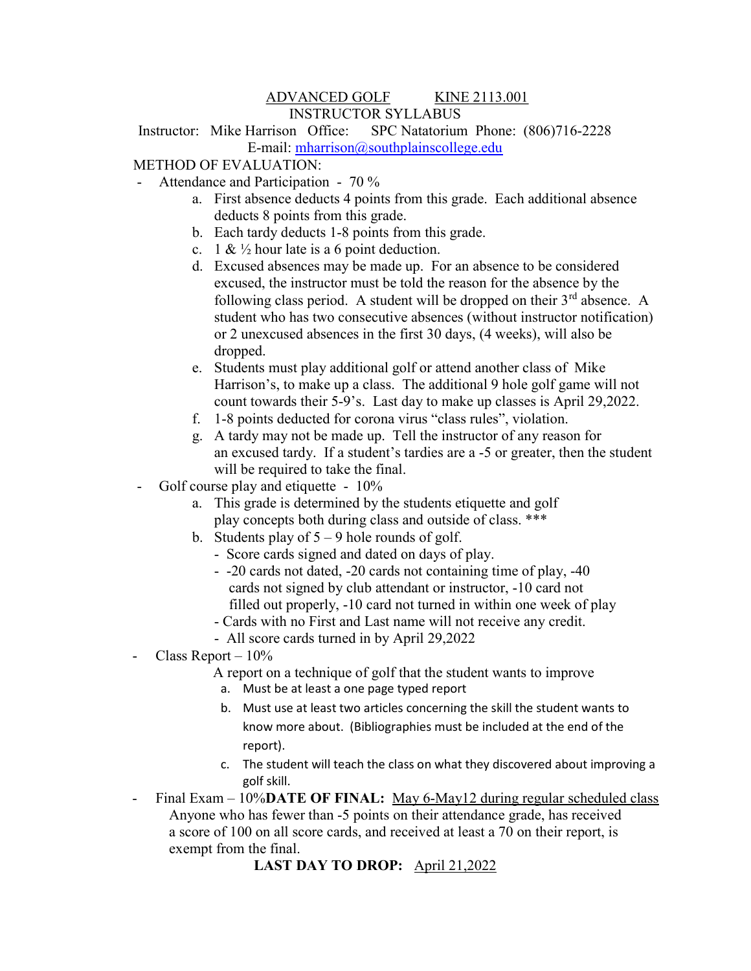### ADVANCED GOLF KINE 2113.001 INSTRUCTOR SYLLABUS

Instructor: Mike Harrison Office: SPC Natatorium Phone: (806)716-2228 E-mail: mharrison@southplainscollege.edu

## METHOD OF EVALUATION:

- Attendance and Participation 70 %
	- a. First absence deducts 4 points from this grade. Each additional absence deducts 8 points from this grade.
	- b. Each tardy deducts 1-8 points from this grade.
	- c. 1 &  $\frac{1}{2}$  hour late is a 6 point deduction.
	- d. Excused absences may be made up. For an absence to be considered excused, the instructor must be told the reason for the absence by the following class period. A student will be dropped on their  $3<sup>rd</sup>$  absence. A student who has two consecutive absences (without instructor notification) or 2 unexcused absences in the first 30 days, (4 weeks), will also be dropped.
	- e. Students must play additional golf or attend another class of Mike Harrison's, to make up a class. The additional 9 hole golf game will not count towards their 5-9's. Last day to make up classes is April 29,2022.
	- f. 1-8 points deducted for corona virus "class rules", violation.
	- g. A tardy may not be made up. Tell the instructor of any reason for an excused tardy. If a student's tardies are a -5 or greater, then the student will be required to take the final.
- Golf course play and etiquette 10%
	- a. This grade is determined by the students etiquette and golf play concepts both during class and outside of class. \*\*\*
	- b. Students play of  $5 9$  hole rounds of golf.
		- Score cards signed and dated on days of play.
		- -20 cards not dated, -20 cards not containing time of play, -40 cards not signed by club attendant or instructor, -10 card not filled out properly, -10 card not turned in within one week of play
		- Cards with no First and Last name will not receive any credit.
		- All score cards turned in by April 29,2022
- Class Report  $-10\%$ 
	- A report on a technique of golf that the student wants to improve
	- a. Must be at least a one page typed report
	- b. Must use at least two articles concerning the skill the student wants to know more about. (Bibliographies must be included at the end of the report).
	- c. The student will teach the class on what they discovered about improving a golf skill.
- Final Exam 10%DATE OF FINAL: May 6-May12 during regular scheduled class Anyone who has fewer than -5 points on their attendance grade, has received a score of 100 on all score cards, and received at least a 70 on their report, is exempt from the final.

LAST DAY TO DROP: April 21,2022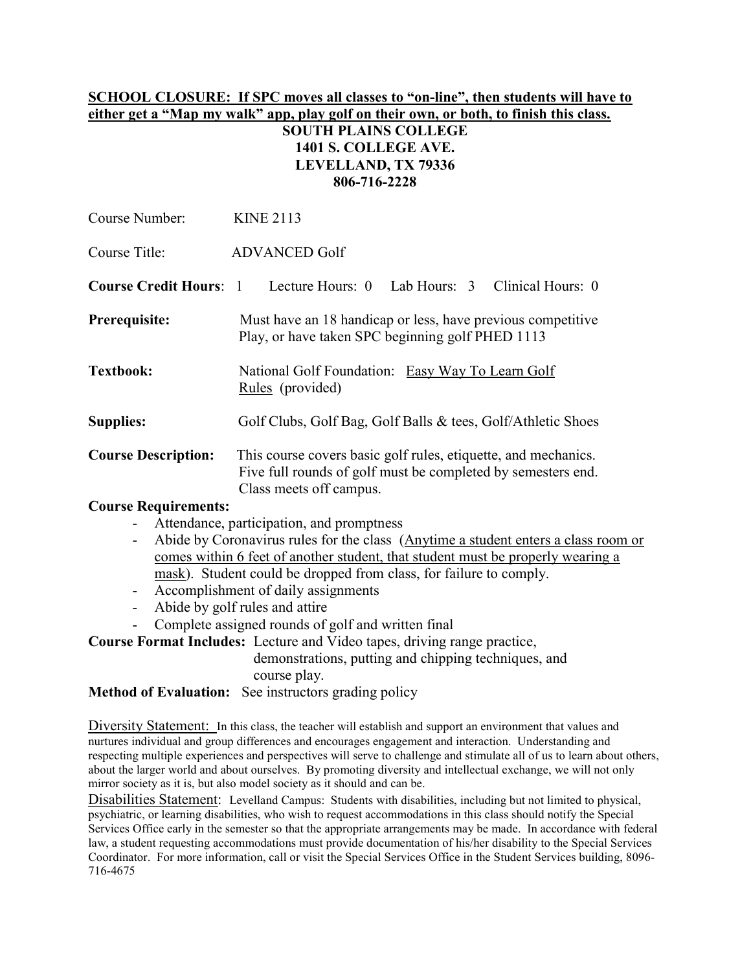### SCHOOL CLOSURE: If SPC moves all classes to "on-line", then students will have to either get a "Map my walk" app, play golf on their own, or both, to finish this class.

## SOUTH PLAINS COLLEGE 1401 S. COLLEGE AVE. LEVELLAND, TX 79336 806-716-2228

| Course Number:             | <b>KINE 2113</b>                                                                                                                                          |  |  |  |
|----------------------------|-----------------------------------------------------------------------------------------------------------------------------------------------------------|--|--|--|
| Course Title:              | <b>ADVANCED Golf</b>                                                                                                                                      |  |  |  |
|                            | <b>Course Credit Hours:</b> 1 Lecture Hours: 0 Lab Hours: 3 Clinical Hours: 0                                                                             |  |  |  |
| Prerequisite:              | Must have an 18 handicap or less, have previous competitive<br>Play, or have taken SPC beginning golf PHED 1113                                           |  |  |  |
| <b>Textbook:</b>           | National Golf Foundation: Easy Way To Learn Golf<br>Rules (provided)                                                                                      |  |  |  |
| <b>Supplies:</b>           | Golf Clubs, Golf Bag, Golf Balls & tees, Golf/Athletic Shoes                                                                                              |  |  |  |
| <b>Course Description:</b> | This course covers basic golf rules, etiquette, and mechanics.<br>Five full rounds of golf must be completed by semesters end.<br>Class meets off campus. |  |  |  |
| Course Requirements.       |                                                                                                                                                           |  |  |  |

#### Course Requirements:

- Attendance, participation, and promptness
- Abide by Coronavirus rules for the class (Anytime a student enters a class room or comes within 6 feet of another student, that student must be properly wearing a mask). Student could be dropped from class, for failure to comply.
- Accomplishment of daily assignments
- Abide by golf rules and attire
- Complete assigned rounds of golf and written final

Course Format Includes: Lecture and Video tapes, driving range practice,

 demonstrations, putting and chipping techniques, and course play.

Method of Evaluation: See instructors grading policy

Diversity Statement: In this class, the teacher will establish and support an environment that values and nurtures individual and group differences and encourages engagement and interaction. Understanding and respecting multiple experiences and perspectives will serve to challenge and stimulate all of us to learn about others, about the larger world and about ourselves. By promoting diversity and intellectual exchange, we will not only mirror society as it is, but also model society as it should and can be.

Disabilities Statement: Levelland Campus: Students with disabilities, including but not limited to physical, psychiatric, or learning disabilities, who wish to request accommodations in this class should notify the Special Services Office early in the semester so that the appropriate arrangements may be made. In accordance with federal law, a student requesting accommodations must provide documentation of his/her disability to the Special Services Coordinator. For more information, call or visit the Special Services Office in the Student Services building, 8096- 716-4675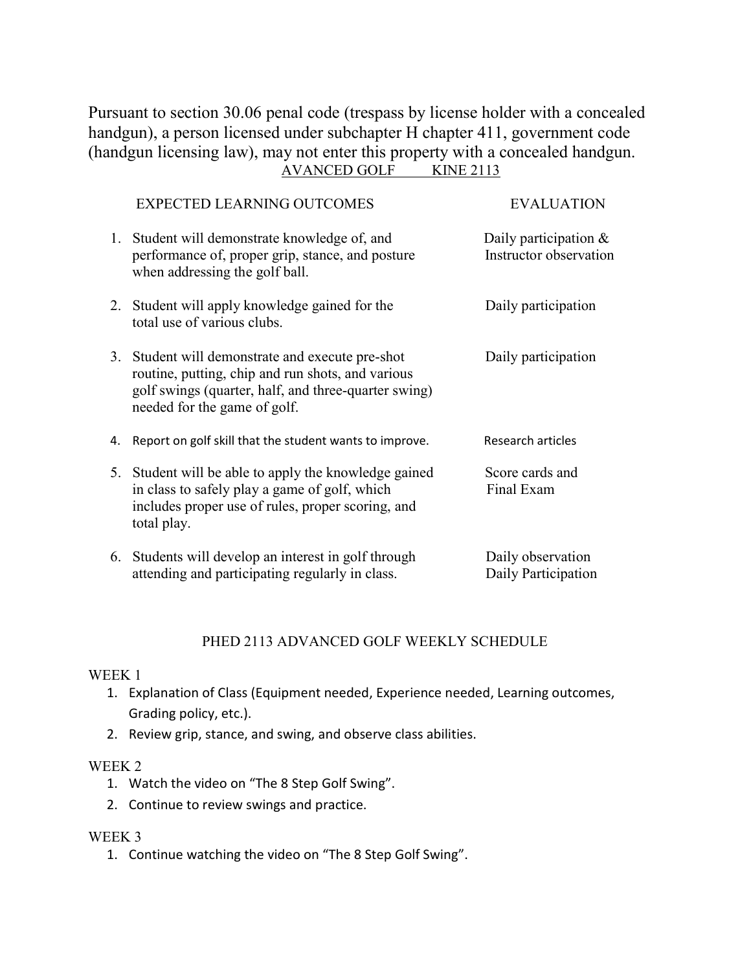Pursuant to section 30.06 penal code (trespass by license holder with a concealed handgun), a person licensed under subchapter H chapter 411, government code (handgun licensing law), may not enter this property with a concealed handgun. AVANCED GOLF KINE 2113

|    | <b>EXPECTED LEARNING OUTCOMES</b>                                                                                                                                                             | <b>EVALUATION</b>                               |
|----|-----------------------------------------------------------------------------------------------------------------------------------------------------------------------------------------------|-------------------------------------------------|
|    | 1. Student will demonstrate knowledge of, and<br>performance of, proper grip, stance, and posture<br>when addressing the golf ball.                                                           | Daily participation &<br>Instructor observation |
|    | 2. Student will apply knowledge gained for the<br>total use of various clubs.                                                                                                                 | Daily participation                             |
|    | 3. Student will demonstrate and execute pre-shot<br>routine, putting, chip and run shots, and various<br>golf swings (quarter, half, and three-quarter swing)<br>needed for the game of golf. | Daily participation                             |
| 4. | Report on golf skill that the student wants to improve.                                                                                                                                       | Research articles                               |
|    | 5. Student will be able to apply the knowledge gained<br>in class to safely play a game of golf, which<br>includes proper use of rules, proper scoring, and<br>total play.                    | Score cards and<br>Final Exam                   |
|    | 6. Students will develop an interest in golf through<br>attending and participating regularly in class.                                                                                       | Daily observation<br>Daily Participation        |

### PHED 2113 ADVANCED GOLF WEEKLY SCHEDULE

#### WEEK 1

- 1. Explanation of Class (Equipment needed, Experience needed, Learning outcomes, Grading policy, etc.).
- 2. Review grip, stance, and swing, and observe class abilities.

### WEEK 2

- 1. Watch the video on "The 8 Step Golf Swing".
- 2. Continue to review swings and practice.

### WEEK 3

1. Continue watching the video on "The 8 Step Golf Swing".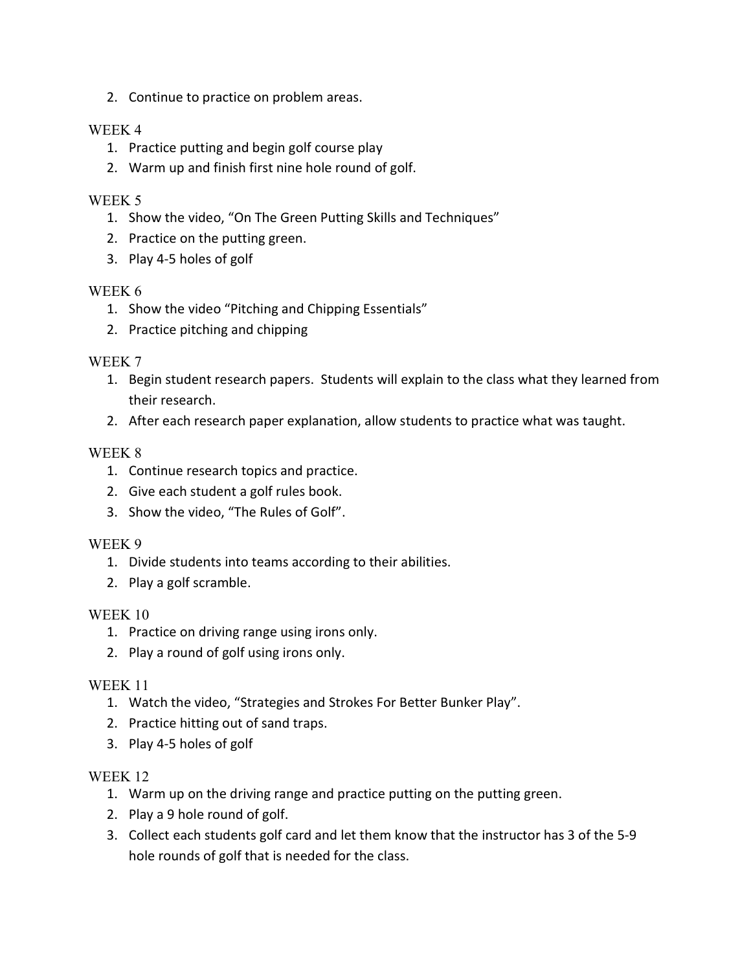2. Continue to practice on problem areas.

## WEEK 4

- 1. Practice putting and begin golf course play
- 2. Warm up and finish first nine hole round of golf.

## WEEK 5

- 1. Show the video, "On The Green Putting Skills and Techniques"
- 2. Practice on the putting green.
- 3. Play 4-5 holes of golf

### WEEK 6

- 1. Show the video "Pitching and Chipping Essentials"
- 2. Practice pitching and chipping

## WEEK 7

- 1. Begin student research papers. Students will explain to the class what they learned from their research.
- 2. After each research paper explanation, allow students to practice what was taught.

## WEEK 8

- 1. Continue research topics and practice.
- 2. Give each student a golf rules book.
- 3. Show the video, "The Rules of Golf".

### WEEK 9

- 1. Divide students into teams according to their abilities.
- 2. Play a golf scramble.

### WEEK 10

- 1. Practice on driving range using irons only.
- 2. Play a round of golf using irons only.

### WEEK 11

- 1. Watch the video, "Strategies and Strokes For Better Bunker Play".
- 2. Practice hitting out of sand traps.
- 3. Play 4-5 holes of golf

### WEEK 12

- 1. Warm up on the driving range and practice putting on the putting green.
- 2. Play a 9 hole round of golf.
- 3. Collect each students golf card and let them know that the instructor has 3 of the 5-9 hole rounds of golf that is needed for the class.